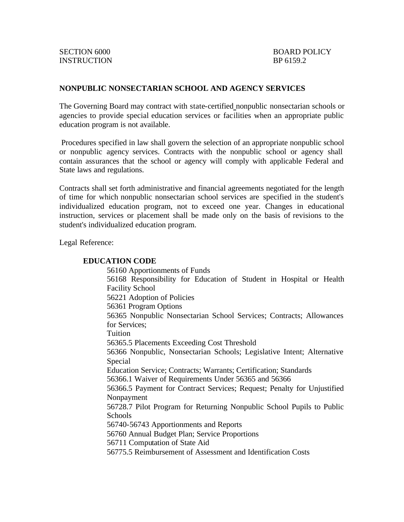## **NONPUBLIC NONSECTARIAN SCHOOL AND AGENCY SERVICES**

The Governing Board may contract with state-certified nonpublic nonsectarian schools or agencies to provide special education services or facilities when an appropriate public education program is not available.

Procedures specified in law shall govern the selection of an appropriate nonpublic school or nonpublic agency services. Contracts with the nonpublic school or agency shall contain assurances that the school or agency will comply with applicable Federal and State laws and regulations.

Contracts shall set forth administrative and financial agreements negotiated for the length of time for which nonpublic nonsectarian school services are specified in the student's individualized education program, not to exceed one year. Changes in educational instruction, services or placement shall be made only on the basis of revisions to the student's individualized education program.

Legal Reference:

### **EDUCATION CODE**

56160 Apportionments of Funds 56168 Responsibility for Education of Student in Hospital or Health Facility School 56221 Adoption of Policies 56361 Program Options 56365 Nonpublic Nonsectarian School Services; Contracts; Allowances for Services; Tuition 56365.5 Placements Exceeding Cost Threshold 56366 Nonpublic, Nonsectarian Schools; Legislative Intent; Alternative Special Education Service; Contracts; Warrants; Certification; Standards 56366.1 Waiver of Requirements Under 56365 and 56366 56366.5 Payment for Contract Services; Request; Penalty for Unjustified Nonpayment 56728.7 Pilot Program for Returning Nonpublic School Pupils to Public Schools 56740-56743 Apportionments and Reports 56760 Annual Budget Plan; Service Proportions 56711 Computation of State Aid 56775.5 Reimbursement of Assessment and Identification Costs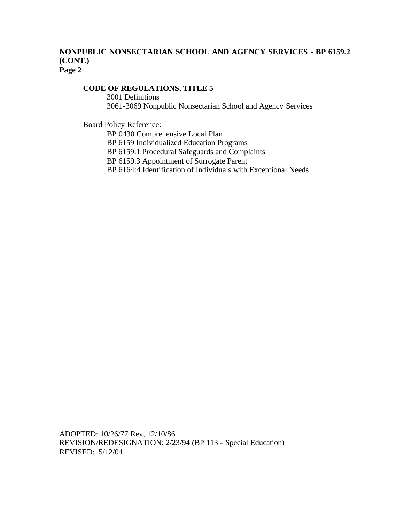## **NONPUBLIC NONSECTARIAN SCHOOL AND AGENCY SERVICES - BP 6159.2 (CONT.) Page 2**

# **CODE OF REGULATIONS, TITLE 5**

3001 Definitions 3061-3069 Nonpublic Nonsectarian School and Agency Services

Board Policy Reference:

BP 0430 Comprehensive Local Plan

BP 6159 Individualized Education Programs

BP 6159.1 Procedural Safeguards and Complaints

BP 6159.3 Appointment of Surrogate Parent

BP 6164:4 Identification of Individuals with Exceptional Needs

ADOPTED: 10/26/77 Rev, 12/10/86 REVISION/REDESIGNATION: 2/23/94 (BP 113 - Special Education) REVISED: 5/12/04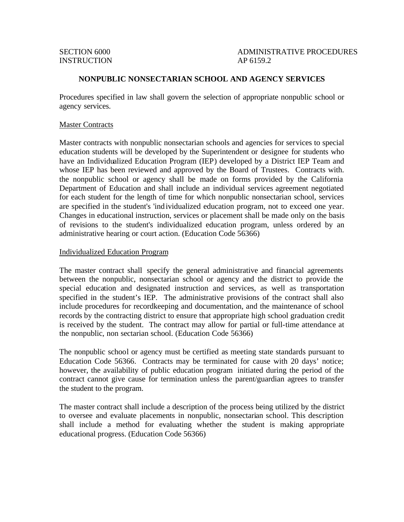INSTRUCTION AP 6159.2

SECTION 6000 ADMINISTRATIVE PROCEDURES

### **NONPUBLIC NONSECTARIAN SCHOOL AND AGENCY SERVICES**

Procedures specified in law shall govern the selection of appropriate nonpublic school or agency services.

#### Master Contracts

Master contracts with nonpublic nonsectarian schools and agencies for services to special education students will be developed by the Superintendent or designee for students who have an Individualized Education Program (IEP) developed by a District IEP Team and whose IEP has been reviewed and approved by the Board of Trustees. Contracts with. the nonpublic school or agency shall be made on forms provided by the California Department of Education and shall include an individual services agreement negotiated for each student for the length of time for which nonpublic nonsectarian school, services are specified in the student's 'individualized education program, not to exceed one year. Changes in educational instruction, services or placement shall be made only on the basis of revisions to the student's individualized education program, unless ordered by an administrative hearing or court action. (Education Code 56366)

#### Individualized Education Program

The master contract shall specify the general administrative and financial agreements between the nonpublic, nonsectarian school or agency and the district to provide the special education and designated instruction and services, as well as transportation specified in the student's IEP. The administrative provisions of the contract shall also include procedures for recordkeeping and documentation, and the maintenance of school records by the contracting district to ensure that appropriate high school graduation credit is received by the student. The contract may allow for partial or full-time attendance at the nonpublic, non sectarian school. (Education Code 56366)

The nonpublic school or agency must be certified as meeting state standards pursuant to Education Code 56366. Contracts may be terminated for cause with 20 days' notice; however, the availability of public education program initiated during the period of the contract cannot give cause for termination unless the parent/guardian agrees to transfer the student to the program.

The master contract shall include a description of the process being utilized by the district to oversee and evaluate placements in nonpublic, nonsectarian school. This description shall include a method for evaluating whether the student is making appropriate educational progress. (Education Code 56366)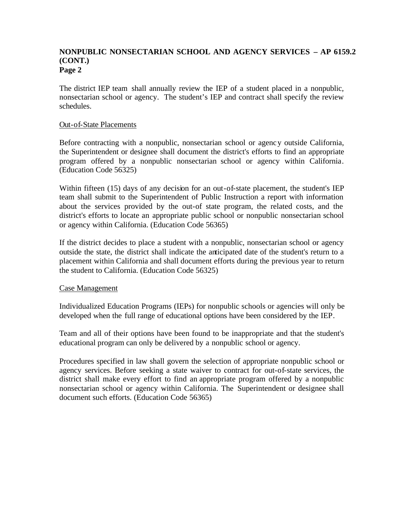## **NONPUBLIC NONSECTARIAN SCHOOL AND AGENCY SERVICES – AP 6159.2 (CONT.) Page 2**

The district IEP team shall annually review the IEP of a student placed in a nonpublic, nonsectarian school or agency. The student's IEP and contract shall specify the review schedules.

### Out-of-State Placements

Before contracting with a nonpublic, nonsectarian school or agency outside California, the Superintendent or designee shall document the district's efforts to find an appropriate program offered by a nonpublic nonsectarian school or agency within California. (Education Code 56325)

Within fifteen (15) days of any decision for an out-of-state placement, the student's IEP team shall submit to the Superintendent of Public Instruction a report with information about the services provided by the out-of state program, the related costs, and the district's efforts to locate an appropriate public school or nonpublic nonsectarian school or agency within California. (Education Code 56365)

If the district decides to place a student with a nonpublic, nonsectarian school or agency outside the state, the district shall indicate the anticipated date of the student's return to a placement within California and shall document efforts during the previous year to return the student to California. (Education Code 56325)

## Case Management

Individualized Education Programs (IEPs) for nonpublic schools or agencies will only be developed when the full range of educational options have been considered by the IEP.

Team and all of their options have been found to be inappropriate and that the student's educational program can only be delivered by a nonpublic school or agency.

Procedures specified in law shall govern the selection of appropriate nonpublic school or agency services. Before seeking a state waiver to contract for out-of-state services, the district shall make every effort to find an appropriate program offered by a nonpublic nonsectarian school or agency within California. The Superintendent or designee shall document such efforts. (Education Code 56365)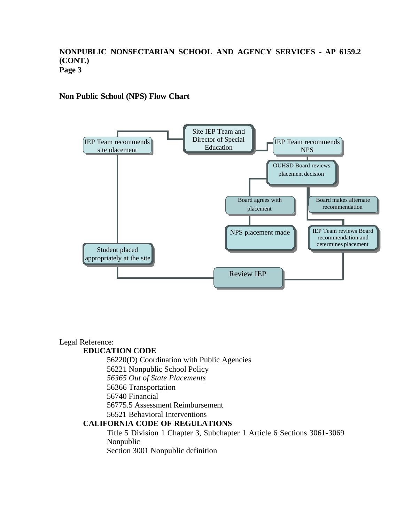## **NONPUBLIC NONSECTARIAN SCHOOL AND AGENCY SERVICES - AP 6159.2 (CONT.) Page 3**

# **Non Public School (NPS) Flow Chart**



# Legal Reference:

## **EDUCATION CODE**

56220(D) Coordination with Public Agencies

56221 Nonpublic School Policy

*56365 Out of State Placements*

56366 Transportation

56740 Financial

56775.5 Assessment Reimbursement

56521 Behavioral Interventions

## **CALIFORNIA CODE OF REGULATIONS**

Title 5 Division 1 Chapter 3, Subchapter 1 Article 6 Sections 3061-3069 Nonpublic

Section 3001 Nonpublic definition